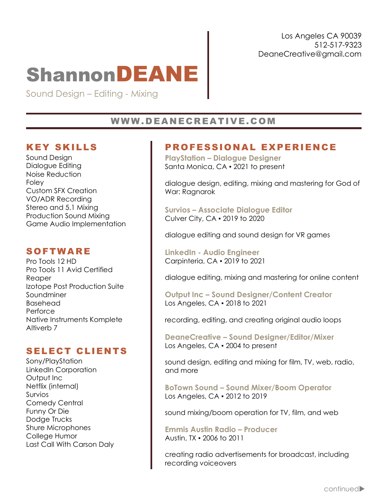# **ShannonDEANE**

Sound Design – Editing - Mixing

## WWW.DEANECREATIVE.COM

## KEY SKILLS

Sound Design Dialogue Editing Noise Reduction Foley Custom SFX Creation VO/ADR Recording Stereo and 5.1 Mixing Production Sound Mixing Game Audio Implementation

## SOFTWARE

Pro Tools 12 HD Pro Tools 11 Avid Certified Reaper Izotope Post Production Suite Soundminer Basehead Perforce Native Instruments Komplete Altiverb 7

## SELECT CLIENTS

Sony/PlayStation LinkedIn Corporation Output Inc Netflix (internal) Survios Comedy Central Funny Or Die Dodge Trucks Shure Microphones College Humor Last Call With Carson Daly

# PROFESSIONAL EXPERIENCE

**PlayStation – Dialogue Designer**  Santa Monica, CA ▪ 2021 to present

dialogue design, editing, mixing and mastering for God of War: Ragnarok

**Survios – Associate Dialogue Editor** Culver City, CA ▪ 2019 to 2020

dialogue editing and sound design for VR games

**LinkedIn - Audio Engineer** Carpinteria, CA ▪ 2019 to 2021

dialogue editing, mixing and mastering for online content

**Output Inc – Sound Designer/Content Creator**  Los Angeles, CA ▪ 2018 to 2021

recording, editing, and creating original audio loops

**DeaneCreative – Sound Designer/Editor/Mixer** Los Angeles, CA ▪ 2004 to present

sound design, editing and mixing for film, TV, web, radio, and more

**BoTown Sound – Sound Mixer/Boom Operator**  Los Angeles, CA ▪ 2012 to 2019

sound mixing/boom operation for TV, film, and web

**Emmis Austin Radio – Producer** Austin, TX ▪ 2006 to 2011

creating radio advertisements for broadcast, including recording voiceovers